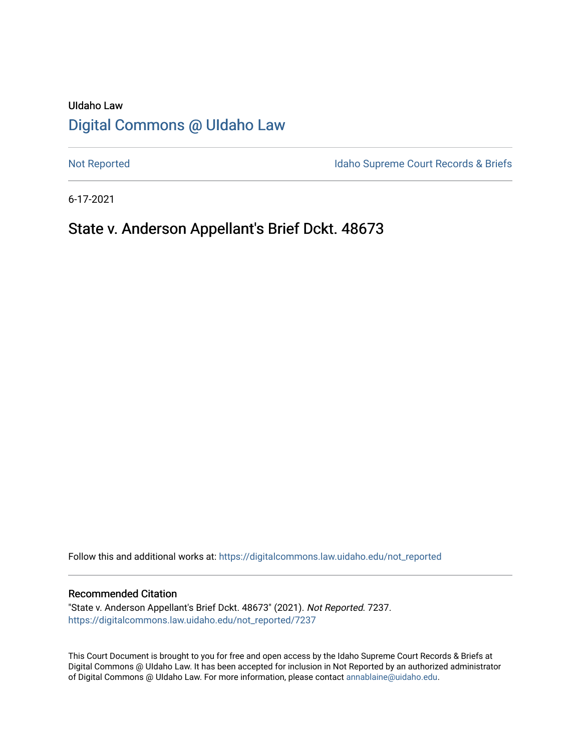# UIdaho Law [Digital Commons @ UIdaho Law](https://digitalcommons.law.uidaho.edu/)

[Not Reported](https://digitalcommons.law.uidaho.edu/not_reported) **Idaho Supreme Court Records & Briefs** 

6-17-2021

# State v. Anderson Appellant's Brief Dckt. 48673

Follow this and additional works at: [https://digitalcommons.law.uidaho.edu/not\\_reported](https://digitalcommons.law.uidaho.edu/not_reported?utm_source=digitalcommons.law.uidaho.edu%2Fnot_reported%2F7237&utm_medium=PDF&utm_campaign=PDFCoverPages) 

#### Recommended Citation

"State v. Anderson Appellant's Brief Dckt. 48673" (2021). Not Reported. 7237. [https://digitalcommons.law.uidaho.edu/not\\_reported/7237](https://digitalcommons.law.uidaho.edu/not_reported/7237?utm_source=digitalcommons.law.uidaho.edu%2Fnot_reported%2F7237&utm_medium=PDF&utm_campaign=PDFCoverPages)

This Court Document is brought to you for free and open access by the Idaho Supreme Court Records & Briefs at Digital Commons @ UIdaho Law. It has been accepted for inclusion in Not Reported by an authorized administrator of Digital Commons @ UIdaho Law. For more information, please contact [annablaine@uidaho.edu](mailto:annablaine@uidaho.edu).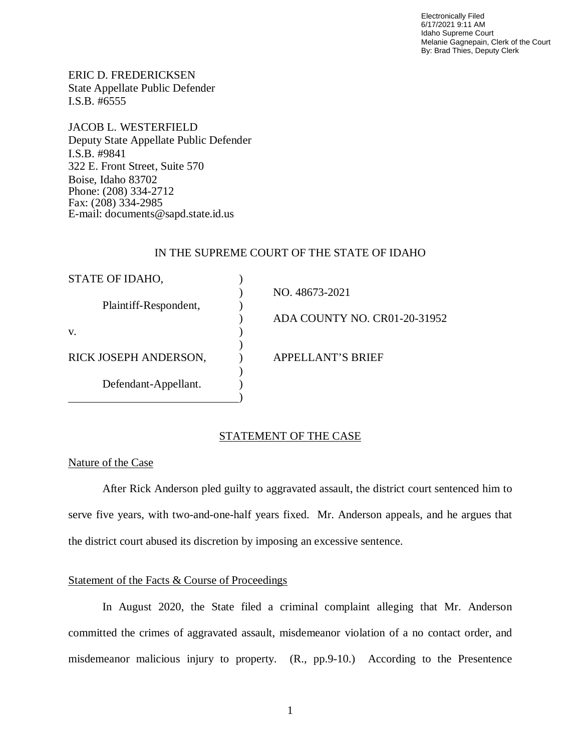Electronically Filed 6/17/2021 9:11 AM Idaho Supreme Court Melanie Gagnepain, Clerk of the Court By: Brad Thies, Deputy Clerk

ERIC D. FREDERICKSEN State Appellate Public Defender I.S.B. #6555

JACOB L. WESTERFIELD Deputy State Appellate Public Defender I.S.B. #9841 322 E. Front Street, Suite 570 Boise, Idaho 83702 Phone: (208) 334-2712 Fax: (208) 334-2985 E-mail: documents@sapd.state.id.us

## IN THE SUPREME COURT OF THE STATE OF IDAHO

| STATE OF IDAHO,       |                              |
|-----------------------|------------------------------|
|                       | NO. 48673-2021               |
| Plaintiff-Respondent, |                              |
|                       | ADA COUNTY NO. CR01-20-31952 |
| V.                    |                              |
|                       |                              |
| RICK JOSEPH ANDERSON, | APPELLANT'S BRIEF            |
|                       |                              |
| Defendant-Appellant.  |                              |
|                       |                              |

### STATEMENT OF THE CASE

### Nature of the Case

After Rick Anderson pled guilty to aggravated assault, the district court sentenced him to serve five years, with two-and-one-half years fixed. Mr. Anderson appeals, and he argues that the district court abused its discretion by imposing an excessive sentence.

## Statement of the Facts & Course of Proceedings

In August 2020, the State filed a criminal complaint alleging that Mr. Anderson committed the crimes of aggravated assault, misdemeanor violation of a no contact order, and misdemeanor malicious injury to property. (R., pp.9-10.) According to the Presentence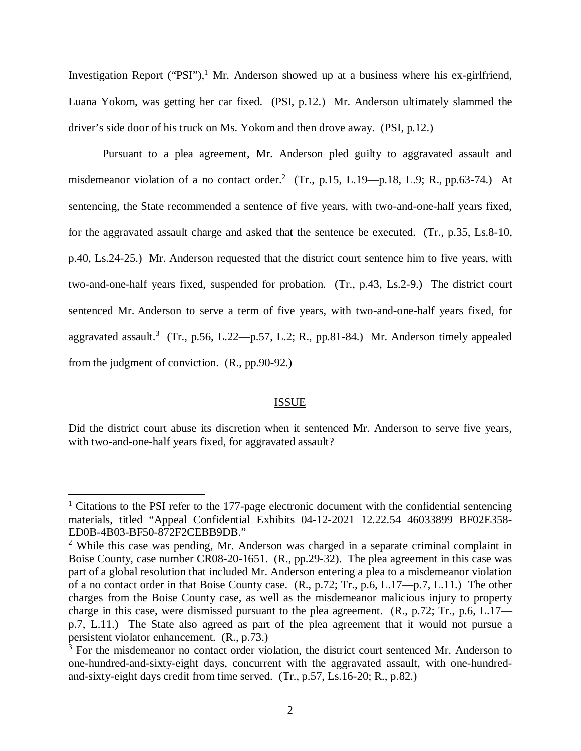Investigation Report ("PSI"),<sup>[1](#page-2-0)</sup> Mr. Anderson showed up at a business where his ex-girlfriend, Luana Yokom, was getting her car fixed. (PSI, p.12.) Mr. Anderson ultimately slammed the driver's side door of his truck on Ms. Yokom and then drove away. (PSI, p.12.)

Pursuant to a plea agreement, Mr. Anderson pled guilty to aggravated assault and misdemeanor violation of a no contact order.<sup>[2](#page-2-1)</sup> (Tr., p.15, L.19—p.18, L.9; R., pp.63-74.) At sentencing, the State recommended a sentence of five years, with two-and-one-half years fixed, for the aggravated assault charge and asked that the sentence be executed. (Tr., p.35, Ls.8-10, p.40, Ls.24-25.) Mr. Anderson requested that the district court sentence him to five years, with two-and-one-half years fixed, suspended for probation. (Tr., p.43, Ls.2-9.) The district court sentenced Mr. Anderson to serve a term of five years, with two-and-one-half years fixed, for aggravated assault.<sup>[3](#page-2-2)</sup> (Tr., p.56, L.22—p.57, L.2; R., pp.81-84.) Mr. Anderson timely appealed from the judgment of conviction. (R., pp.90-92.)

#### ISSUE

Did the district court abuse its discretion when it sentenced Mr. Anderson to serve five years, with two-and-one-half years fixed, for aggravated assault?

<span id="page-2-0"></span><sup>&</sup>lt;sup>1</sup> Citations to the PSI refer to the 177-page electronic document with the confidential sentencing materials, titled "Appeal Confidential Exhibits 04-12-2021 12.22.54 46033899 BF02E358- ED0B-4B03-BF50-872F2CEBB9DB."

<span id="page-2-1"></span><sup>&</sup>lt;sup>2</sup> While this case was pending, Mr. Anderson was charged in a separate criminal complaint in Boise County, case number CR08-20-1651. (R., pp.29-32). The plea agreement in this case was part of a global resolution that included Mr. Anderson entering a plea to a misdemeanor violation of a no contact order in that Boise County case. (R., p.72; Tr., p.6, L.17—p.7, L.11.) The other charges from the Boise County case, as well as the misdemeanor malicious injury to property charge in this case, were dismissed pursuant to the plea agreement. (R., p.72; Tr., p.6, L.17 p.7, L.11.) The State also agreed as part of the plea agreement that it would not pursue a persistent violator enhancement. (R., p.73.)

<span id="page-2-2"></span><sup>&</sup>lt;sup>3</sup> For the misdemeanor no contact order violation, the district court sentenced Mr. Anderson to one-hundred-and-sixty-eight days, concurrent with the aggravated assault, with one-hundredand-sixty-eight days credit from time served. (Tr., p.57, Ls.16-20; R., p.82.)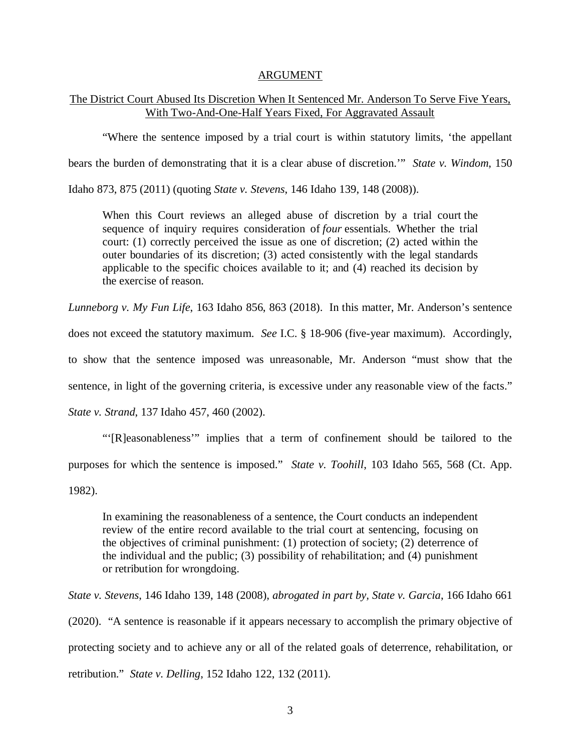#### ARGUMENT

## The District Court Abused Its Discretion When It Sentenced Mr. Anderson To Serve Five Years, With Two-And-One-Half Years Fixed, For Aggravated Assault

"Where the sentence imposed by a trial court is within statutory limits, 'the appellant

bears the burden of demonstrating that it is a clear abuse of discretion.'" *State v. Windom*, 150

Idaho 873, 875 (2011) (quoting *State v. Stevens*, 146 Idaho 139, 148 (2008)).

When this Court reviews an alleged abuse of discretion by a trial court the sequence of inquiry requires consideration of *four* essentials. Whether the trial court: (1) correctly perceived the issue as one of discretion; (2) acted within the outer boundaries of its discretion; (3) acted consistently with the legal standards applicable to the specific choices available to it; and (4) reached its decision by the exercise of reason.

*Lunneborg v. My Fun Life*, 163 Idaho 856, 863 (2018). In this matter, Mr. Anderson's sentence does not exceed the statutory maximum. *See* I.C. § 18-906 (five-year maximum). Accordingly, to show that the sentence imposed was unreasonable, Mr. Anderson "must show that the sentence, in light of the governing criteria, is excessive under any reasonable view of the facts." *State v. Strand*, 137 Idaho 457, 460 (2002).

"'[R]easonableness'" implies that a term of confinement should be tailored to the purposes for which the sentence is imposed." *State v. Toohill*, 103 Idaho 565, 568 (Ct. App. 1982).

In examining the reasonableness of a sentence, the Court conducts an independent review of the entire record available to the trial court at sentencing, focusing on the objectives of criminal punishment: (1) protection of society; (2) deterrence of the individual and the public; (3) possibility of rehabilitation; and (4) punishment or retribution for wrongdoing.

*State v. Stevens*, 146 Idaho 139, 148 (2008), *abrogated in part by, State v. Garcia*, 166 Idaho 661 (2020). "A sentence is reasonable if it appears necessary to accomplish the primary objective of protecting society and to achieve any or all of the related goals of deterrence, rehabilitation, or retribution." *State v. Delling*, 152 Idaho 122, 132 (2011).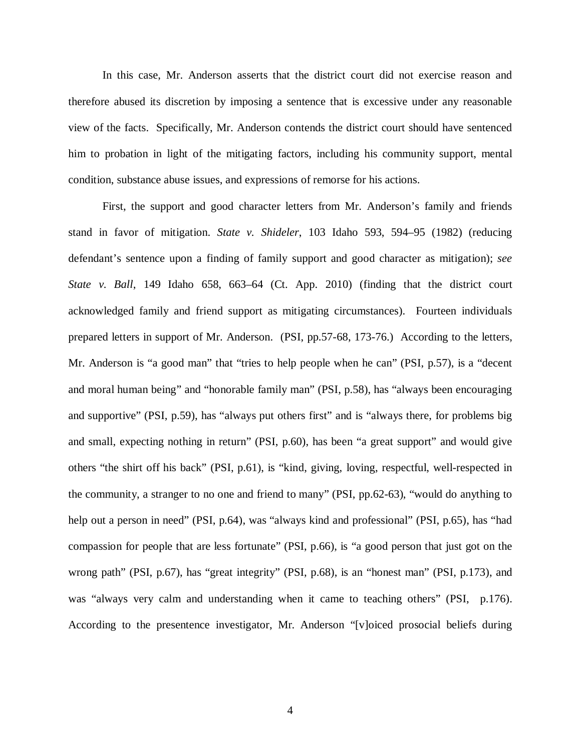In this case, Mr. Anderson asserts that the district court did not exercise reason and therefore abused its discretion by imposing a sentence that is excessive under any reasonable view of the facts. Specifically, Mr. Anderson contends the district court should have sentenced him to probation in light of the mitigating factors, including his community support, mental condition, substance abuse issues, and expressions of remorse for his actions.

First, the support and good character letters from Mr. Anderson's family and friends stand in favor of mitigation. *State v. Shideler*, 103 Idaho 593, 594–95 (1982) (reducing defendant's sentence upon a finding of family support and good character as mitigation); *see State v. Ball*, 149 Idaho 658, 663–64 (Ct. App. 2010) (finding that the district court acknowledged family and friend support as mitigating circumstances). Fourteen individuals prepared letters in support of Mr. Anderson. (PSI, pp.57-68, 173-76.) According to the letters, Mr. Anderson is "a good man" that "tries to help people when he can" (PSI, p.57), is a "decent and moral human being" and "honorable family man" (PSI, p.58), has "always been encouraging and supportive" (PSI, p.59), has "always put others first" and is "always there, for problems big and small, expecting nothing in return" (PSI, p.60), has been "a great support" and would give others "the shirt off his back" (PSI, p.61), is "kind, giving, loving, respectful, well-respected in the community, a stranger to no one and friend to many" (PSI, pp.62-63), "would do anything to help out a person in need" (PSI, p.64), was "always kind and professional" (PSI, p.65), has "had compassion for people that are less fortunate" (PSI, p.66), is "a good person that just got on the wrong path" (PSI, p.67), has "great integrity" (PSI, p.68), is an "honest man" (PSI, p.173), and was "always very calm and understanding when it came to teaching others" (PSI, p.176). According to the presentence investigator, Mr. Anderson "[v]oiced prosocial beliefs during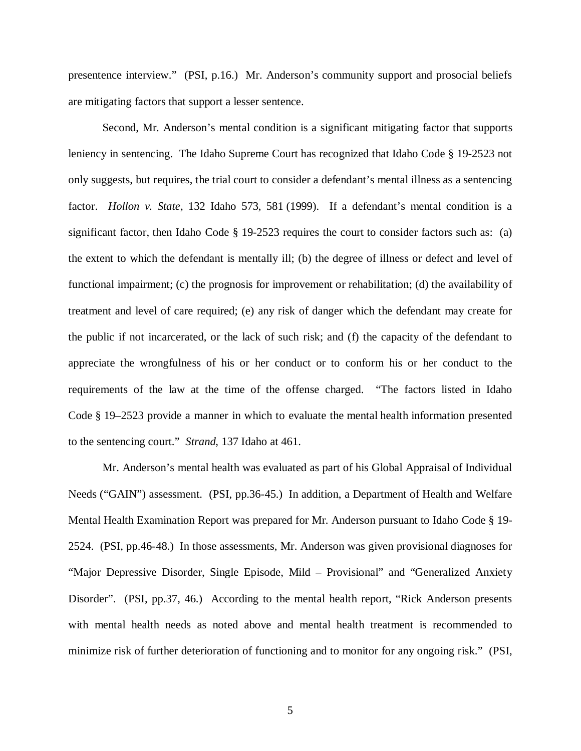presentence interview." (PSI, p.16.) Mr. Anderson's community support and prosocial beliefs are mitigating factors that support a lesser sentence.

Second, Mr. Anderson's mental condition is a significant mitigating factor that supports leniency in sentencing. The Idaho Supreme Court has recognized that Idaho Code § 19-2523 not only suggests, but requires, the trial court to consider a defendant's mental illness as a sentencing factor. *Hollon v. State*, 132 Idaho 573, 581 (1999). If a defendant's mental condition is a significant factor, then Idaho Code § 19-2523 requires the court to consider factors such as: (a) the extent to which the defendant is mentally ill; (b) the degree of illness or defect and level of functional impairment; (c) the prognosis for improvement or rehabilitation; (d) the availability of treatment and level of care required; (e) any risk of danger which the defendant may create for the public if not incarcerated, or the lack of such risk; and (f) the capacity of the defendant to appreciate the wrongfulness of his or her conduct or to conform his or her conduct to the requirements of the law at the time of the offense charged. "The factors listed in Idaho Code § 19–2523 provide a manner in which to evaluate the mental health information presented to the sentencing court." *Strand*, 137 Idaho at 461.

Mr. Anderson's mental health was evaluated as part of his Global Appraisal of Individual Needs ("GAIN") assessment. (PSI, pp.36-45.) In addition, a Department of Health and Welfare Mental Health Examination Report was prepared for Mr. Anderson pursuant to Idaho Code § 19- 2524. (PSI, pp.46-48.) In those assessments, Mr. Anderson was given provisional diagnoses for "Major Depressive Disorder, Single Episode, Mild – Provisional" and "Generalized Anxiety Disorder". (PSI, pp.37, 46.) According to the mental health report, "Rick Anderson presents" with mental health needs as noted above and mental health treatment is recommended to minimize risk of further deterioration of functioning and to monitor for any ongoing risk." (PSI,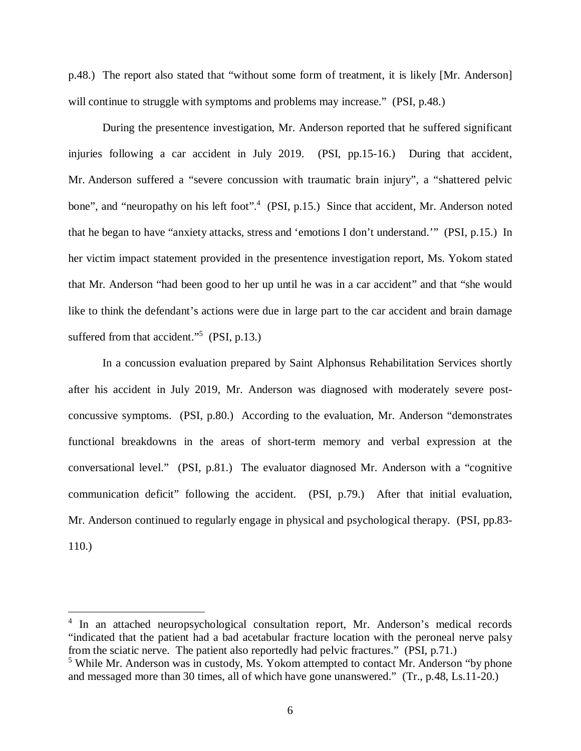p.48.) The report also stated that "without some form of treatment, it is likely [Mr. Anderson] will continue to struggle with symptoms and problems may increase." (PSI, p.48.)

During the presentence investigation, Mr. Anderson reported that he suffered significant injuries following a car accident in July 2019. (PSI, pp.15-16.) During that accident, Mr. Anderson suffered a "severe concussion with traumatic brain injury", a "shattered pelvic bone", and "neuropathy on his left foot".<sup>[4](#page-6-0)</sup> (PSI, p.15.) Since that accident, Mr. Anderson noted that he began to have "anxiety attacks, stress and 'emotions I don't understand.'" (PSI, p.15.) In her victim impact statement provided in the presentence investigation report, Ms. Yokom stated that Mr. Anderson "had been good to her up until he was in a car accident" and that "she would like to think the defendant's actions were due in large part to the car accident and brain damage suffered from that accident."<sup>[5](#page-6-1)</sup> (PSI, p.13.)

In a concussion evaluation prepared by Saint Alphonsus Rehabilitation Services shortly after his accident in July 2019, Mr. Anderson was diagnosed with moderately severe postconcussive symptoms. (PSI, p.80.) According to the evaluation, Mr. Anderson "demonstrates functional breakdowns in the areas of short-term memory and verbal expression at the conversational level." (PSI, p.81.) The evaluator diagnosed Mr. Anderson with a "cognitive communication deficit" following the accident. (PSI, p.79.) After that initial evaluation, Mr. Anderson continued to regularly engage in physical and psychological therapy. (PSI, pp.83- 110.)

<span id="page-6-0"></span><sup>&</sup>lt;sup>4</sup> In an attached neuropsychological consultation report, Mr. Anderson's medical records "indicated that the patient had a bad acetabular fracture location with the peroneal nerve palsy from the sciatic nerve. The patient also reportedly had pelvic fractures." (PSI, p.71.)

<span id="page-6-1"></span><sup>&</sup>lt;sup>5</sup> While Mr. Anderson was in custody, Ms. Yokom attempted to contact Mr. Anderson "by phone and messaged more than 30 times, all of which have gone unanswered." (Tr., p.48, Ls.11-20.)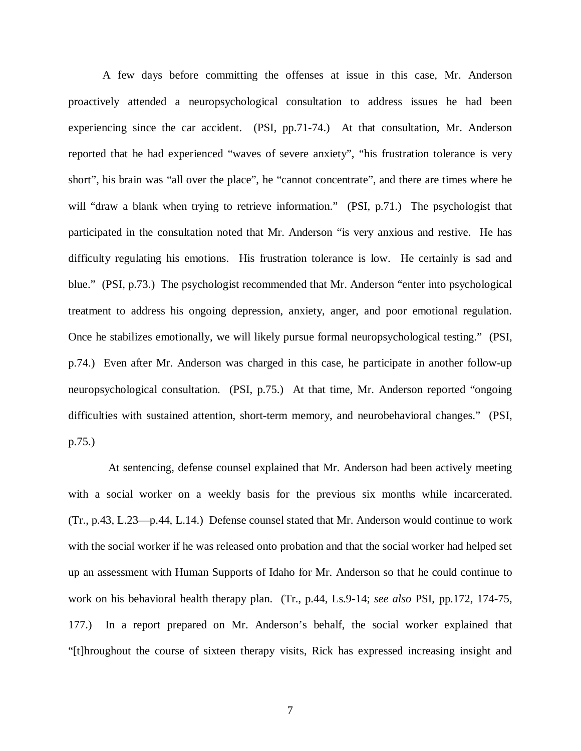A few days before committing the offenses at issue in this case, Mr. Anderson proactively attended a neuropsychological consultation to address issues he had been experiencing since the car accident. (PSI, pp.71-74.) At that consultation, Mr. Anderson reported that he had experienced "waves of severe anxiety", "his frustration tolerance is very short", his brain was "all over the place", he "cannot concentrate", and there are times where he will "draw a blank when trying to retrieve information." (PSI, p.71.) The psychologist that participated in the consultation noted that Mr. Anderson "is very anxious and restive. He has difficulty regulating his emotions. His frustration tolerance is low. He certainly is sad and blue." (PSI, p.73.) The psychologist recommended that Mr. Anderson "enter into psychological treatment to address his ongoing depression, anxiety, anger, and poor emotional regulation. Once he stabilizes emotionally, we will likely pursue formal neuropsychological testing." (PSI, p.74.) Even after Mr. Anderson was charged in this case, he participate in another follow-up neuropsychological consultation. (PSI, p.75.) At that time, Mr. Anderson reported "ongoing difficulties with sustained attention, short-term memory, and neurobehavioral changes." (PSI, p.75.)

 At sentencing, defense counsel explained that Mr. Anderson had been actively meeting with a social worker on a weekly basis for the previous six months while incarcerated. (Tr., p.43, L.23—p.44, L.14.) Defense counsel stated that Mr. Anderson would continue to work with the social worker if he was released onto probation and that the social worker had helped set up an assessment with Human Supports of Idaho for Mr. Anderson so that he could continue to work on his behavioral health therapy plan. (Tr., p.44, Ls.9-14; *see also* PSI, pp.172, 174-75, 177.) In a report prepared on Mr. Anderson's behalf, the social worker explained that "[t]hroughout the course of sixteen therapy visits, Rick has expressed increasing insight and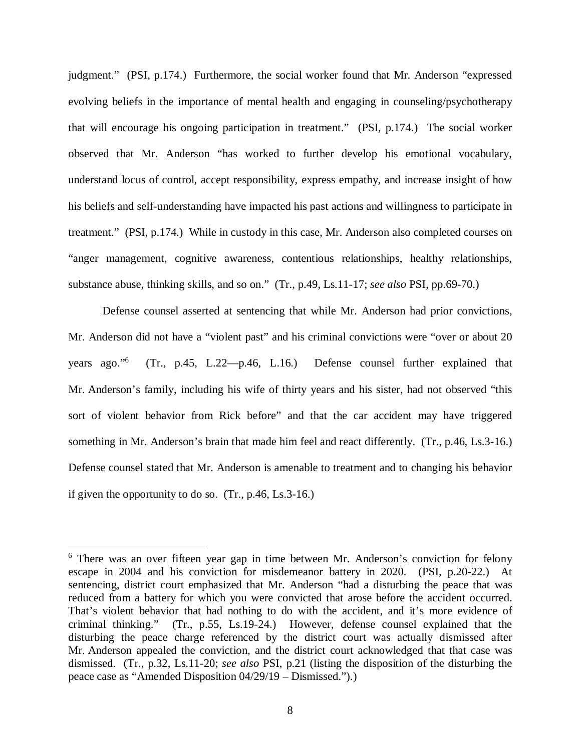judgment." (PSI, p.174.) Furthermore, the social worker found that Mr. Anderson "expressed evolving beliefs in the importance of mental health and engaging in counseling/psychotherapy that will encourage his ongoing participation in treatment." (PSI, p.174.) The social worker observed that Mr. Anderson "has worked to further develop his emotional vocabulary, understand locus of control, accept responsibility, express empathy, and increase insight of how his beliefs and self-understanding have impacted his past actions and willingness to participate in treatment." (PSI, p.174.) While in custody in this case, Mr. Anderson also completed courses on "anger management, cognitive awareness, contentious relationships, healthy relationships, substance abuse, thinking skills, and so on." (Tr., p.49, Ls.11-17; *see also* PSI, pp.69-70.)

Defense counsel asserted at sentencing that while Mr. Anderson had prior convictions, Mr. Anderson did not have a "violent past" and his criminal convictions were "over or about 20 years ago."[6](#page-8-0) (Tr., p.45, L.22—p.46, L.16.) Defense counsel further explained that Mr. Anderson's family, including his wife of thirty years and his sister, had not observed "this sort of violent behavior from Rick before" and that the car accident may have triggered something in Mr. Anderson's brain that made him feel and react differently. (Tr., p.46, Ls.3-16.) Defense counsel stated that Mr. Anderson is amenable to treatment and to changing his behavior if given the opportunity to do so. (Tr., p.46, Ls.3-16.)

<span id="page-8-0"></span><sup>&</sup>lt;sup>6</sup> There was an over fifteen year gap in time between Mr. Anderson's conviction for felony escape in 2004 and his conviction for misdemeanor battery in 2020. (PSI, p.20-22.) At sentencing, district court emphasized that Mr. Anderson "had a disturbing the peace that was reduced from a battery for which you were convicted that arose before the accident occurred. That's violent behavior that had nothing to do with the accident, and it's more evidence of criminal thinking." (Tr., p.55, Ls.19-24.) However, defense counsel explained that the disturbing the peace charge referenced by the district court was actually dismissed after Mr. Anderson appealed the conviction, and the district court acknowledged that that case was dismissed. (Tr., p.32, Ls.11-20; *see also* PSI, p.21 (listing the disposition of the disturbing the peace case as "Amended Disposition 04/29/19 – Dismissed.").)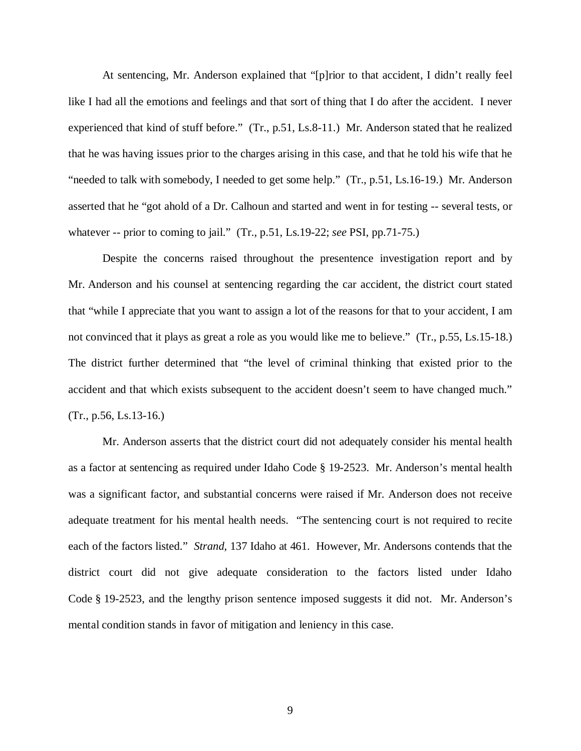At sentencing, Mr. Anderson explained that "[p]rior to that accident, I didn't really feel like I had all the emotions and feelings and that sort of thing that I do after the accident. I never experienced that kind of stuff before." (Tr., p.51, Ls.8-11.) Mr. Anderson stated that he realized that he was having issues prior to the charges arising in this case, and that he told his wife that he "needed to talk with somebody, I needed to get some help." (Tr., p.51, Ls.16-19.) Mr. Anderson asserted that he "got ahold of a Dr. Calhoun and started and went in for testing -- several tests, or whatever -- prior to coming to jail." (Tr., p.51, Ls.19-22; *see* PSI, pp.71-75.)

Despite the concerns raised throughout the presentence investigation report and by Mr. Anderson and his counsel at sentencing regarding the car accident, the district court stated that "while I appreciate that you want to assign a lot of the reasons for that to your accident, I am not convinced that it plays as great a role as you would like me to believe." (Tr., p.55, Ls.15-18.) The district further determined that "the level of criminal thinking that existed prior to the accident and that which exists subsequent to the accident doesn't seem to have changed much." (Tr., p.56, Ls.13-16.)

Mr. Anderson asserts that the district court did not adequately consider his mental health as a factor at sentencing as required under Idaho Code § 19-2523. Mr. Anderson's mental health was a significant factor, and substantial concerns were raised if Mr. Anderson does not receive adequate treatment for his mental health needs. "The sentencing court is not required to recite each of the factors listed." *Strand*, 137 Idaho at 461. However, Mr. Andersons contends that the district court did not give adequate consideration to the factors listed under Idaho Code § 19-2523, and the lengthy prison sentence imposed suggests it did not. Mr. Anderson's mental condition stands in favor of mitigation and leniency in this case.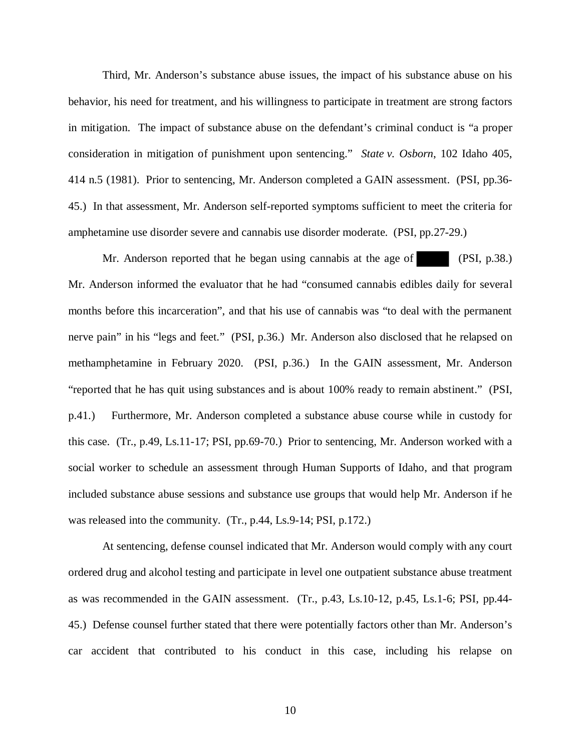Third, Mr. Anderson's substance abuse issues, the impact of his substance abuse on his behavior, his need for treatment, and his willingness to participate in treatment are strong factors in mitigation. The impact of substance abuse on the defendant's criminal conduct is "a proper consideration in mitigation of punishment upon sentencing." *State v. Osborn*, 102 Idaho 405, 414 n.5 (1981). Prior to sentencing, Mr. Anderson completed a GAIN assessment. (PSI, pp.36- 45.) In that assessment, Mr. Anderson self-reported symptoms sufficient to meet the criteria for amphetamine use disorder severe and cannabis use disorder moderate. (PSI, pp.27-29.)

Mr. Anderson reported that he began using cannabis at the age of (PSI, p.38.) Mr. Anderson informed the evaluator that he had "consumed cannabis edibles daily for several months before this incarceration", and that his use of cannabis was "to deal with the permanent nerve pain" in his "legs and feet." (PSI, p.36.) Mr. Anderson also disclosed that he relapsed on methamphetamine in February 2020. (PSI, p.36.) In the GAIN assessment, Mr. Anderson "reported that he has quit using substances and is about 100% ready to remain abstinent." (PSI, p.41.) Furthermore, Mr. Anderson completed a substance abuse course while in custody for this case. (Tr., p.49, Ls.11-17; PSI, pp.69-70.) Prior to sentencing, Mr. Anderson worked with a social worker to schedule an assessment through Human Supports of Idaho, and that program included substance abuse sessions and substance use groups that would help Mr. Anderson if he was released into the community. (Tr., p.44, Ls.9-14; PSI, p.172.)

At sentencing, defense counsel indicated that Mr. Anderson would comply with any court ordered drug and alcohol testing and participate in level one outpatient substance abuse treatment as was recommended in the GAIN assessment. (Tr., p.43, Ls.10-12, p.45, Ls.1-6; PSI, pp.44- 45.) Defense counsel further stated that there were potentially factors other than Mr. Anderson's car accident that contributed to his conduct in this case, including his relapse on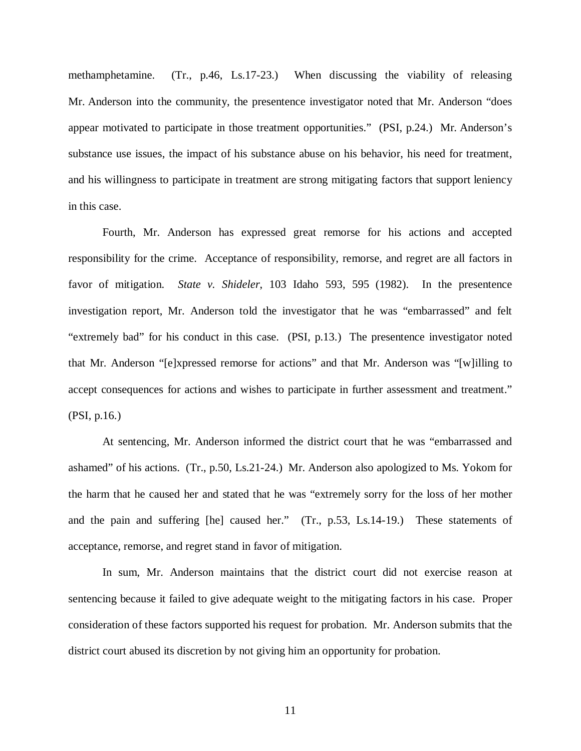methamphetamine. (Tr., p.46, Ls.17-23.) When discussing the viability of releasing Mr. Anderson into the community, the presentence investigator noted that Mr. Anderson "does appear motivated to participate in those treatment opportunities." (PSI, p.24.) Mr. Anderson's substance use issues, the impact of his substance abuse on his behavior, his need for treatment, and his willingness to participate in treatment are strong mitigating factors that support leniency in this case.

Fourth, Mr. Anderson has expressed great remorse for his actions and accepted responsibility for the crime. Acceptance of responsibility, remorse, and regret are all factors in favor of mitigation. *State v. Shideler*, 103 Idaho 593, 595 (1982). In the presentence investigation report, Mr. Anderson told the investigator that he was "embarrassed" and felt "extremely bad" for his conduct in this case. (PSI, p.13.) The presentence investigator noted that Mr. Anderson "[e]xpressed remorse for actions" and that Mr. Anderson was "[w]illing to accept consequences for actions and wishes to participate in further assessment and treatment." (PSI, p.16.)

At sentencing, Mr. Anderson informed the district court that he was "embarrassed and ashamed" of his actions. (Tr., p.50, Ls.21-24.) Mr. Anderson also apologized to Ms. Yokom for the harm that he caused her and stated that he was "extremely sorry for the loss of her mother and the pain and suffering [he] caused her." (Tr., p.53, Ls.14-19.) These statements of acceptance, remorse, and regret stand in favor of mitigation.

In sum, Mr. Anderson maintains that the district court did not exercise reason at sentencing because it failed to give adequate weight to the mitigating factors in his case. Proper consideration of these factors supported his request for probation. Mr. Anderson submits that the district court abused its discretion by not giving him an opportunity for probation.